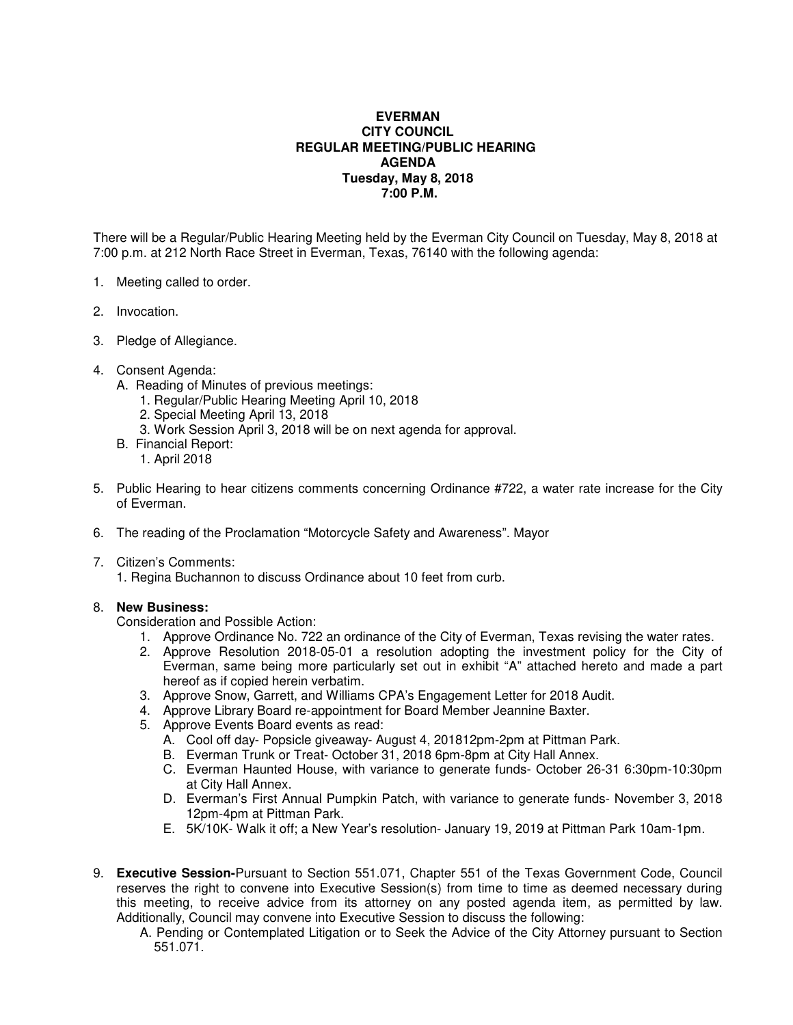## **EVERMAN CITY COUNCIL REGULAR MEETING/PUBLIC HEARING AGENDA Tuesday, May 8, 2018 7:00 P.M.**

There will be a Regular/Public Hearing Meeting held by the Everman City Council on Tuesday, May 8, 2018 at 7:00 p.m. at 212 North Race Street in Everman, Texas, 76140 with the following agenda:

- 1. Meeting called to order.
- 2. Invocation.
- 3. Pledge of Allegiance.
- 4. Consent Agenda:
	- A. Reading of Minutes of previous meetings:
		- 1. Regular/Public Hearing Meeting April 10, 2018
		- 2. Special Meeting April 13, 2018
		- 3. Work Session April 3, 2018 will be on next agenda for approval.
	- B. Financial Report:
		- 1. April 2018
- 5. Public Hearing to hear citizens comments concerning Ordinance #722, a water rate increase for the City of Everman.
- 6. The reading of the Proclamation "Motorcycle Safety and Awareness". Mayor
- 7. Citizen's Comments:

1. Regina Buchannon to discuss Ordinance about 10 feet from curb.

## 8. **New Business:**

Consideration and Possible Action:

- 1. Approve Ordinance No. 722 an ordinance of the City of Everman, Texas revising the water rates.
- 2. Approve Resolution 2018-05-01 a resolution adopting the investment policy for the City of Everman, same being more particularly set out in exhibit "A" attached hereto and made a part hereof as if copied herein verbatim.
- 3. Approve Snow, Garrett, and Williams CPA's Engagement Letter for 2018 Audit.
- 4. Approve Library Board re-appointment for Board Member Jeannine Baxter.
- 5. Approve Events Board events as read:
	- A. Cool off day- Popsicle giveaway- August 4, 201812pm-2pm at Pittman Park.
	- B. Everman Trunk or Treat- October 31, 2018 6pm-8pm at City Hall Annex.
	- C. Everman Haunted House, with variance to generate funds- October 26-31 6:30pm-10:30pm at City Hall Annex.
	- D. Everman's First Annual Pumpkin Patch, with variance to generate funds- November 3, 2018 12pm-4pm at Pittman Park.
	- E. 5K/10K- Walk it off; a New Year's resolution- January 19, 2019 at Pittman Park 10am-1pm.
- 9. **Executive Session-**Pursuant to Section 551.071, Chapter 551 of the Texas Government Code, Council reserves the right to convene into Executive Session(s) from time to time as deemed necessary during this meeting, to receive advice from its attorney on any posted agenda item, as permitted by law. Additionally, Council may convene into Executive Session to discuss the following:
	- A. Pending or Contemplated Litigation or to Seek the Advice of the City Attorney pursuant to Section 551.071.